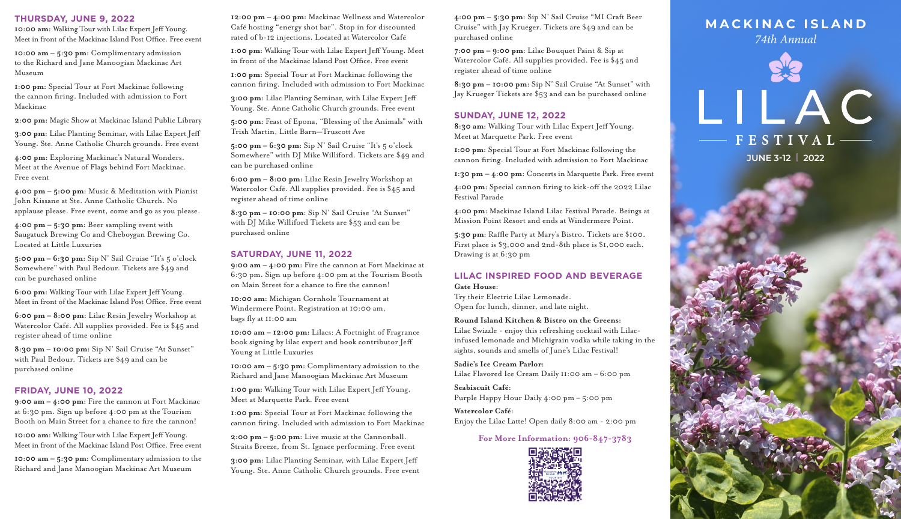### **THURSDAY, JUNE 9, 2022**

**10:00 am:** Walking Tour with Lilac Expert Jeff Young. Meet in front of the Mackinac Island Post Office. Free event

**10:00 am – 5:30 pm:** Complimentary admission to the Richard and Jane Manoogian Mackinac Art Museum

**1:00 pm:** Special Tour at Fort Mackinac following the cannon firing. Included with admission to Fort Mackinac

**2:00 pm:** Magic Show at Mackinac Island Public Library

**3:00 pm:** Lilac Planting Seminar, with Lilac Expert Jeff Young. Ste. Anne Catholic Church grounds. Free event

**4:00 pm:** Exploring Mackinac's Natural Wonders. Meet at the Avenue of Flags behind Fort Mackinac. Free event

**4:00 pm – 5:00 pm:** Music & Meditation with Pianist John Kissane at Ste. Anne Catholic Church. No applause please. Free event, come and go as you please.

**4:00 pm – 5:30 pm:** Beer sampling event with Saugatuck Brewing Co and Cheboygan Brewing Co. Located at Little Luxuries

**5:00 pm – 6:30 pm:** Sip N' Sail Cruise "It's 5 o'clock Somewhere" with Paul Bedour. Tickets are \$49 and can be purchased online

**6:00 pm:** Walking Tour with Lilac Expert Jeff Young. Meet in front of the Mackinac Island Post Office. Free event

**6:00 pm – 8:00 pm:** Lilac Resin Jewelry Workshop at Watercolor Café. All supplies provided. Fee is \$45 and register ahead of time online

**8:30 pm – 10:00 pm:** Sip N' Sail Cruise "At Sunset" with Paul Bedour. Tickets are \$49 and can be purchased online

# **FRIDAY, JUNE 10, 2022**

**9:00 am – 4:00 pm:** Fire the cannon at Fort Mackinac at 6:30 pm. Sign up before 4:00 pm at the Tourism Booth on Main Street for a chance to fire the cannon!

**10:00 am:** Walking Tour with Lilac Expert Jeff Young. Meet in front of the Mackinac Island Post Office. Free event

**10:00 am – 5:30 pm:** Complimentary admission to the Richard and Jane Manoogian Mackinac Art Museum

**12:00 pm – 4:00 pm:** Mackinac Wellness and Watercolor Café hosting "energy shot bar". Stop in for discounted rated of b-12 injections. Located at Watercolor Café

**1:00 pm:** Walking Tour with Lilac Expert Jeff Young. Meet in front of the Mackinac Island Post Office. Free event

**1:00 pm:** Special Tour at Fort Mackinac following the cannon firing. Included with admission to Fort Mackinac

**3:00 pm:** Lilac Planting Seminar, with Lilac Expert Jeff Young. Ste. Anne Catholic Church grounds. Free event

**5:00 pm:** Feast of Epona, "Blessing of the Animals" with Trish Martin, Little Barn—Truscott Ave

**5:00 pm – 6:30 pm:** Sip N' Sail Cruise "It's 5 o'clock Somewhere" with DJ Mike Williford. Tickets are \$49 and can be purchased online

**6:00 pm – 8:00 pm:** Lilac Resin Jewelry Workshop at Watercolor Café. All supplies provided. Fee is \$45 and register ahead of time online

**8:30 pm – 10:00 pm:** Sip N' Sail Cruise "At Sunset" with DJ Mike Williford Tickets are \$53 and can be purchased online

## **SATURDAY, JUNE 11, 2022**

**9:00 am – 4:00 pm:** Fire the cannon at Fort Mackinac at 6:30 pm. Sign up before 4:00 pm at the Tourism Booth on Main Street for a chance to fire the cannon!

**10:00 am:** Michigan Cornhole Tournament at Windermere Point. Registration at 10:00 am, bags fly at 11:00 am

**10:00 am – 12:00 pm:** Lilacs: A Fortnight of Fragrance book signing by lilac expert and book contributor Jeff Young at Little Luxuries

**10:00 am – 5:30 pm:** Complimentary admission to the Richard and Jane Manoogian Mackinac Art Museum

**1:00 pm:** Walking Tour with Lilac Expert Jeff Young. Meet at Marquette Park. Free event

**1:00 pm:** Special Tour at Fort Mackinac following the cannon firing. Included with admission to Fort Mackinac

**2:00 pm – 5:00 pm:** Live music at the Cannonball. Straits Breeze, from St. Ignace performing. Free event

**3:00 pm:** Lilac Planting Seminar, with Lilac Expert Jeff Young. Ste. Anne Catholic Church grounds. Free event **4:00 pm – 5:30 pm:** Sip N' Sail Cruise "MI Craft Beer Cruise" with Jay Krueger. Tickets are \$49 and can be purchased online

**7:00 pm – 9:00 pm:** Lilac Bouquet Paint & Sip at Watercolor Café. All supplies provided. Fee is \$45 and register ahead of time online

**8:30 pm – 10:00 pm:** Sip N' Sail Cruise "At Sunset" with Jay Krueger Tickets are \$53 and can be purchased online

# **SUNDAY, JUNE 12, 2022**

**8:30 am:** Walking Tour with Lilac Expert Jeff Young. Meet at Marquette Park. Free event

**1:00 pm:** Special Tour at Fort Mackinac following the cannon firing. Included with admission to Fort Mackinac

**1:30 pm – 4:00 pm:** Concerts in Marquette Park. Free event

**4:00 pm:** Special cannon firing to kick-off the 2022 Lilac Festival Parade

**4:00 pm:** Mackinac Island Lilac Festival Parade. Beings at Mission Point Resort and ends at Windermere Point.

**5:30 pm:** Raffle Party at Mary's Bistro. Tickets are \$100. First place is \$3,000 and 2nd-8th place is \$1,000 each. Drawing is at 6:30 pm

## **LILAC INSPIRED FOOD AND BEVERAGE Gate House:**

Try their Electric Lilac Lemonade. Open for lunch, dinner, and late night.

# **Round Island Kitchen & Bistro on the Greens:**

Lilac Swizzle - enjoy this refreshing cocktail with Lilacinfused lemonade and Michigrain vodka while taking in the sights, sounds and smells of June's Lilac Festival!

## **Sadie's Ice Cream Parlor:**

Lilac Flavored Ice Cream Daily 11:00 am – 6:00 pm

**Seabiscuit Café:**  Purple Happy Hour Daily 4:00 pm – 5:00 pm

**Watercolor Café:**  Enjoy the Lilac Latte! Open daily 8:00 am - 2:00 pm

# **For More Information: 906-847-3783**



# **MACKINAC ISLAND**

*74th Annual*